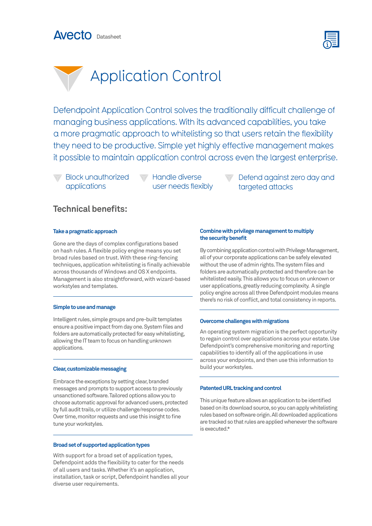





Defendpoint Application Control solves the traditionally difficult challenge of managing business applications. With its advanced capabilities, you take a more pragmatic approach to whitelisting so that users retain the flexibility they need to be productive. Simple yet highly effective management makes it possible to maintain application control across even the largest enterprise.

Block unauthorized applications

**Handle diverse** user needs flexibly Defend against zero day and targeted attacks

## **Technical benefits:**

## **Take a pragmatic approach**

Gone are the days of complex configurations based on hash rules. A flexible policy engine means you set broad rules based on trust. With these ring-fencing techniques, application whitelisting is finally achievable across thousands of Windows and OS X endpoints. Management is also straightforward, with wizard-based workstyles and templates.

## **Simple to use and manage**

Intelligent rules, simple groups and pre-built templates ensure a positive impact from day one. System files and folders are automatically protected for easy whitelisting, allowing the IT team to focus on handling unknown applications.

## **Clear, customizable messaging**

Embrace the exceptions by setting clear, branded messages and prompts to support access to previously unsanctioned software. Tailored options allow you to choose automatic approval for advanced users, protected by full audit trails, or utilize challenge/response codes. Over time, monitor requests and use this insight to fine tune your workstyles.

## **Broad set of supported application types**

With support for a broad set of application types, Defendpoint adds the flexibility to cater for the needs of all users and tasks. Whether it's an application, installation, task or script, Defendpoint handles all your diverse user requirements.

## **Combine with privilege management to multiply the security benefit**

By combining application control with Privilege Management, all of your corporate applications can be safely elevated without the use of admin rights. The system files and folders are automatically protected and therefore can be whitelisted easily. This allows you to focus on unknown or user applications, greatly reducing complexity. A single policy engine across all three Defendpoint modules means there's no risk of conflict, and total consistency in reports.

## **Overcome challenges with migrations**

An operating system migration is the perfect opportunity to regain control over applications across your estate. Use Defendpoint's comprehensive monitoring and reporting capabilities to identify all of the applications in use across your endpoints, and then use this information to build your workstyles.

## **Patented URL tracking and control**

This unique feature allows an application to be identified based on its download source, so you can apply whitelisting rules based on software origin. All downloaded applications are tracked so that rules are applied whenever the software is executed.\*